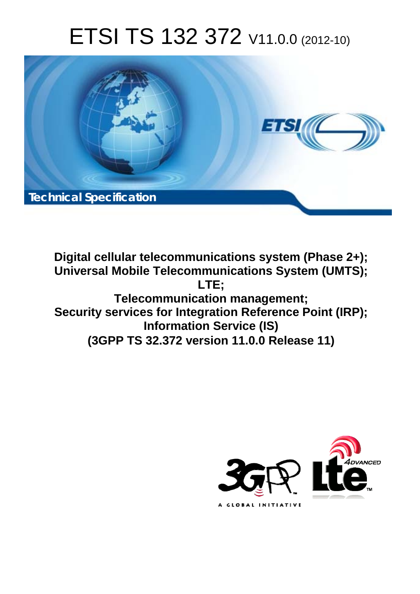# ETSI TS 132 372 V11.0.0 (2012-10)



**Digital cellular telecommunications system (Phase 2+); Universal Mobile Telecommunications System (UMTS); LTE; Telecommunication management; Security services for Integration Reference Point (IRP); Information Service (IS) (3GPP TS 32.372 version 11.0.0 Release 11)** 

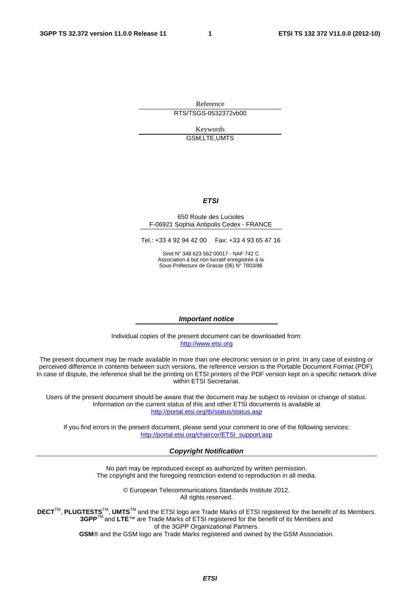Reference RTS/TSGS-0532372vb00

> Keywords GSM,LTE,UMTS

#### *ETSI*

#### 650 Route des Lucioles F-06921 Sophia Antipolis Cedex - FRANCE

Tel.: +33 4 92 94 42 00 Fax: +33 4 93 65 47 16

Siret N° 348 623 562 00017 - NAF 742 C Association à but non lucratif enregistrée à la Sous-Préfecture de Grasse (06) N° 7803/88

#### *Important notice*

Individual copies of the present document can be downloaded from: [http://www.etsi.org](http://www.etsi.org/)

The present document may be made available in more than one electronic version or in print. In any case of existing or perceived difference in contents between such versions, the reference version is the Portable Document Format (PDF). In case of dispute, the reference shall be the printing on ETSI printers of the PDF version kept on a specific network drive within ETSI Secretariat.

Users of the present document should be aware that the document may be subject to revision or change of status. Information on the current status of this and other ETSI documents is available at <http://portal.etsi.org/tb/status/status.asp>

If you find errors in the present document, please send your comment to one of the following services: [http://portal.etsi.org/chaircor/ETSI\\_support.asp](http://portal.etsi.org/chaircor/ETSI_support.asp)

#### *Copyright Notification*

No part may be reproduced except as authorized by written permission. The copyright and the foregoing restriction extend to reproduction in all media.

> © European Telecommunications Standards Institute 2012. All rights reserved.

DECT<sup>™</sup>, PLUGTESTS<sup>™</sup>, UMTS<sup>™</sup> and the ETSI logo are Trade Marks of ETSI registered for the benefit of its Members. **3GPP**TM and **LTE**™ are Trade Marks of ETSI registered for the benefit of its Members and of the 3GPP Organizational Partners.

**GSM**® and the GSM logo are Trade Marks registered and owned by the GSM Association.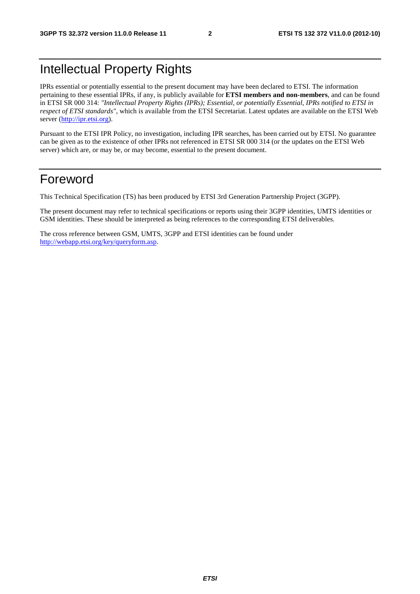### Intellectual Property Rights

IPRs essential or potentially essential to the present document may have been declared to ETSI. The information pertaining to these essential IPRs, if any, is publicly available for **ETSI members and non-members**, and can be found in ETSI SR 000 314: *"Intellectual Property Rights (IPRs); Essential, or potentially Essential, IPRs notified to ETSI in respect of ETSI standards"*, which is available from the ETSI Secretariat. Latest updates are available on the ETSI Web server [\(http://ipr.etsi.org](http://webapp.etsi.org/IPR/home.asp)).

Pursuant to the ETSI IPR Policy, no investigation, including IPR searches, has been carried out by ETSI. No guarantee can be given as to the existence of other IPRs not referenced in ETSI SR 000 314 (or the updates on the ETSI Web server) which are, or may be, or may become, essential to the present document.

### Foreword

This Technical Specification (TS) has been produced by ETSI 3rd Generation Partnership Project (3GPP).

The present document may refer to technical specifications or reports using their 3GPP identities, UMTS identities or GSM identities. These should be interpreted as being references to the corresponding ETSI deliverables.

The cross reference between GSM, UMTS, 3GPP and ETSI identities can be found under <http://webapp.etsi.org/key/queryform.asp>.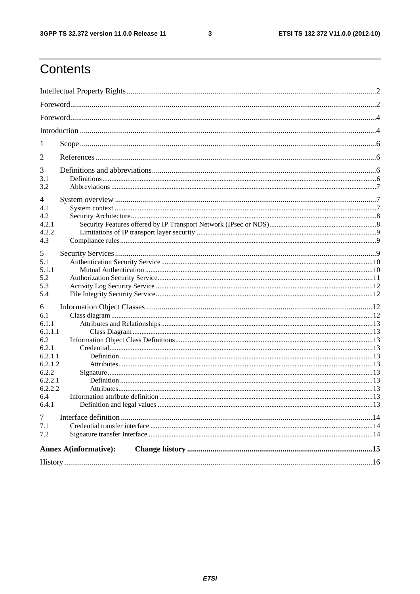$\mathbf{3}$ 

### Contents

| 1       |                              |  |
|---------|------------------------------|--|
| 2       |                              |  |
| 3       |                              |  |
| 3.1     |                              |  |
| 3.2     |                              |  |
| 4       |                              |  |
| 4.1     |                              |  |
| 4.2     |                              |  |
| 4.2.1   |                              |  |
| 4.2.2   |                              |  |
| 4.3     |                              |  |
| 5       |                              |  |
| 5.1     |                              |  |
| 5.1.1   |                              |  |
| 5.2     |                              |  |
| 5.3     |                              |  |
| 5.4     |                              |  |
| 6       |                              |  |
| 6.1     |                              |  |
| 6.1.1   |                              |  |
| 6.1.1.1 |                              |  |
| 6.2     |                              |  |
| 6.2.1   |                              |  |
| 6.2.1.1 |                              |  |
| 6.2.1.2 |                              |  |
| 6.2.2   |                              |  |
| 6.2.2.1 |                              |  |
| 6.2.2.2 |                              |  |
| 6.4     |                              |  |
| 6.4.1   |                              |  |
| 7       |                              |  |
| 7.1     |                              |  |
| 7.2     |                              |  |
|         | <b>Annex A(informative):</b> |  |
|         |                              |  |
|         |                              |  |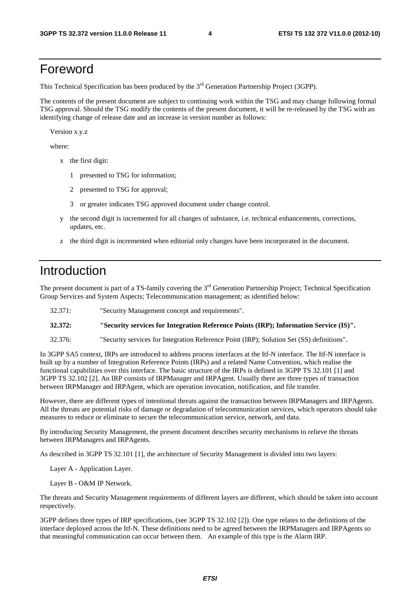### Foreword

This Technical Specification has been produced by the 3<sup>rd</sup> Generation Partnership Project (3GPP).

The contents of the present document are subject to continuing work within the TSG and may change following formal TSG approval. Should the TSG modify the contents of the present document, it will be re-released by the TSG with an identifying change of release date and an increase in version number as follows:

Version x.y.z

where:

- x the first digit:
	- 1 presented to TSG for information;
	- 2 presented to TSG for approval;
	- 3 or greater indicates TSG approved document under change control.
- y the second digit is incremented for all changes of substance, i.e. technical enhancements, corrections, updates, etc.
- z the third digit is incremented when editorial only changes have been incorporated in the document.

### Introduction

The present document is part of a TS-family covering the 3<sup>rd</sup> Generation Partnership Project; Technical Specification Group Services and System Aspects; Telecommunication management; as identified below:

32.371: "Security Management concept and requirements".

**32.372: "Security services for Integration Reference Points (IRP); Information Service (IS)".** 

32.376: "Security services for Integration Reference Point (IRP); Solution Set (SS) definitions".

In 3GPP SA5 context, IRPs are introduced to address process interfaces at the Itf-N interface. The Itf-N interface is built up by a number of Integration Reference Points (IRPs) and a related Name Convention, which realise the functional capabilities over this interface. The basic structure of the IRPs is defined in 3GPP TS 32.101 [1] and 3GPP TS 32.102 [2]. An IRP consists of IRPManager and IRPAgent. Usually there are three types of transaction between IRPManager and IRPAgent, which are operation invocation, notification, and file transfer.

However, there are different types of intentional threats against the transaction between IRPManagers and IRPAgents. All the threats are potential risks of damage or degradation of telecommunication services, which operators should take measures to reduce or eliminate to secure the telecommunication service, network, and data.

By introducing Security Management, the present document describes security mechanisms to relieve the threats between IRPManagers and IRPAgents.

As described in 3GPP TS 32.101 [1], the architecture of Security Management is divided into two layers:

Layer A - Application Layer.

Layer B - O&M IP Network.

The threats and Security Management requirements of different layers are different, which should be taken into account respectively.

3GPP defines three types of IRP specifications, (see 3GPP TS 32.102 [2]). One type relates to the definitions of the interface deployed across the Itf-N. These definitions need to be agreed between the IRPManagers and IRPAgents so that meaningful communication can occur between them. An example of this type is the Alarm IRP.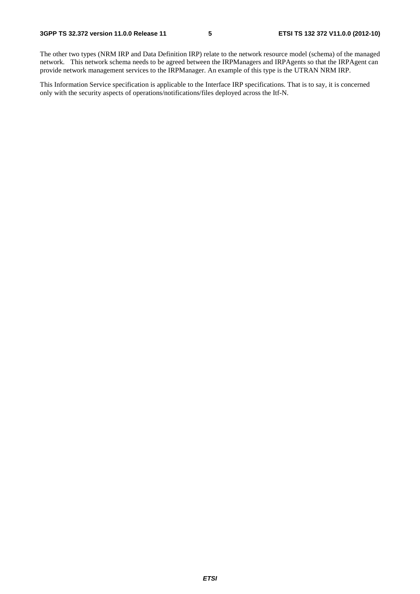The other two types (NRM IRP and Data Definition IRP) relate to the network resource model (schema) of the managed network. This network schema needs to be agreed between the IRPManagers and IRPAgents so that the IRPAgent can provide network management services to the IRPManager. An example of this type is the UTRAN NRM IRP.

This Information Service specification is applicable to the Interface IRP specifications. That is to say, it is concerned only with the security aspects of operations/notifications/files deployed across the Itf-N.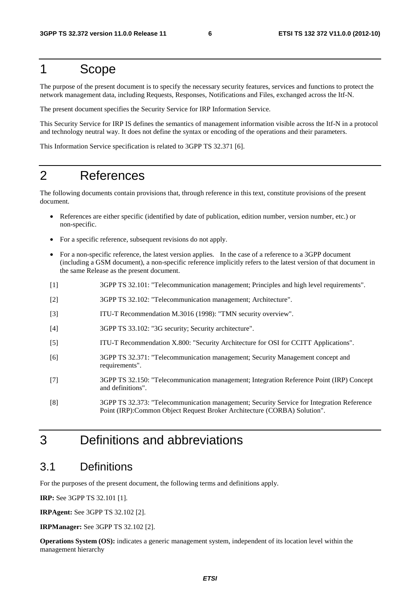### 1 Scope

The purpose of the present document is to specify the necessary security features, services and functions to protect the network management data, including Requests, Responses, Notifications and Files, exchanged across the Itf-N.

The present document specifies the Security Service for IRP Information Service.

This Security Service for IRP IS defines the semantics of management information visible across the Itf-N in a protocol and technology neutral way. It does not define the syntax or encoding of the operations and their parameters.

This Information Service specification is related to 3GPP TS 32.371 [6].

### 2 References

The following documents contain provisions that, through reference in this text, constitute provisions of the present document.

- References are either specific (identified by date of publication, edition number, version number, etc.) or non-specific.
- For a specific reference, subsequent revisions do not apply.
- For a non-specific reference, the latest version applies. In the case of a reference to a 3GPP document (including a GSM document), a non-specific reference implicitly refers to the latest version of that document in the same Release as the present document.
- [1] 3GPP TS 32.101: "Telecommunication management; Principles and high level requirements".
- [2] 3GPP TS 32.102: "Telecommunication management; Architecture".
- [3] ITU-T Recommendation M.3016 (1998): "TMN security overview".
- [4] 3GPP TS 33.102: "3G security; Security architecture".
- [5] ITU-T Recommendation X.800: "Security Architecture for OSI for CCITT Applications".
- [6] 3GPP TS 32.371: "Telecommunication management; Security Management concept and requirements".
- [7] 3GPP TS 32.150: "Telecommunication management; Integration Reference Point (IRP) Concept and definitions".
- [8] 3GPP TS 32.373: "Telecommunication management; Security Service for Integration Reference Point (IRP):Common Object Request Broker Architecture (CORBA) Solution".

### 3 Definitions and abbreviations

#### 3.1 Definitions

For the purposes of the present document, the following terms and definitions apply.

**IRP:** See 3GPP TS 32.101 [1].

**IRPAgent:** See 3GPP TS 32.102 [2].

**IRPManager:** See 3GPP TS 32.102 [2].

**Operations System (OS):** indicates a generic management system, independent of its location level within the management hierarchy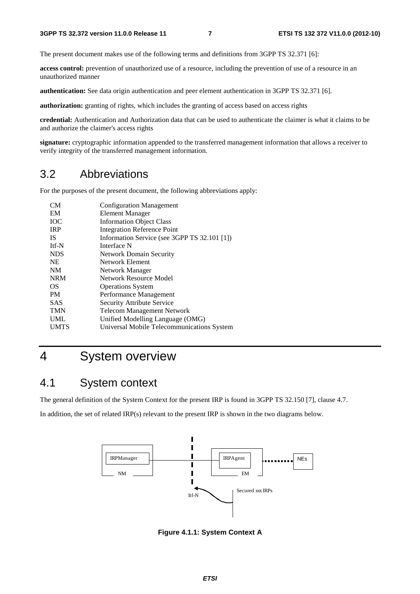The present document makes use of the following terms and definitions from 3GPP TS 32.371 [6]:

**access control:** prevention of unauthorized use of a resource, including the prevention of use of a resource in an unauthorized manner

**authentication:** See data origin authentication and peer element authentication in 3GPP TS 32.371 [6].

**authorization:** granting of rights, which includes the granting of access based on access rights

**credential:** Authentication and Authorization data that can be used to authenticate the claimer is what it claims to be and authorize the claimer's access rights

**signature:** cryptographic information appended to the transferred management information that allows a receiver to verify integrity of the transferred management information.

#### 3.2 Abbreviations

For the purposes of the present document, the following abbreviations apply:

| <b>CM</b>   | <b>Configuration Management</b>              |
|-------------|----------------------------------------------|
| EM          | <b>Element Manager</b>                       |
| <b>IOC</b>  | <b>Information Object Class</b>              |
| <b>IRP</b>  | <b>Integration Reference Point</b>           |
| <b>IS</b>   | Information Service (see 3GPP TS 32.101 [1]) |
| Itf-N       | Interface N                                  |
| <b>NDS</b>  | <b>Network Domain Security</b>               |
| <b>NE</b>   | Network Element                              |
| <b>NM</b>   | Network Manager                              |
| <b>NRM</b>  | Network Resource Model                       |
| <b>OS</b>   | <b>Operations System</b>                     |
| <b>PM</b>   | Performance Management                       |
| <b>SAS</b>  | Security Attribute Service                   |
| <b>TMN</b>  | <b>Telecom Management Network</b>            |
| <b>UML</b>  | Unified Modelling Language (OMG)             |
| <b>UMTS</b> | Universal Mobile Telecommunications System   |
|             |                                              |

### 4 System overview

#### 4.1 System context

The general definition of the System Context for the present IRP is found in 3GPP TS 32.150 [7], clause 4.7.

In addition, the set of related IRP(s) relevant to the present IRP is shown in the two diagrams below.



**Figure 4.1.1: System Context A**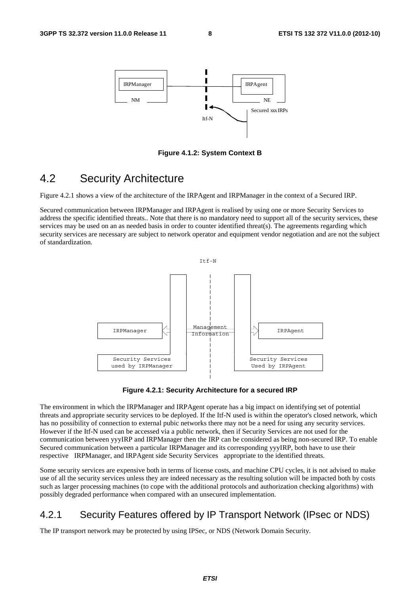

**Figure 4.1.2: System Context B** 

#### 4.2 Security Architecture

Figure 4.2.1 shows a view of the architecture of the IRPAgent and IRPManager in the context of a Secured IRP.

Secured communication between IRPManager and IRPAgent is realised by using one or more Security Services to address the specific identified threats.. Note that there is no mandatory need to support all of the security services, these services may be used on an as needed basis in order to counter identified threat(s). The agreements regarding which security services are necessary are subject to network operator and equipment vendor negotiation and are not the subject of standardization.



**Figure 4.2.1: Security Architecture for a secured IRP** 

The environment in which the IRPManager and IRPAgent operate has a big impact on identifying set of potential threats and appropriate security services to be deployed. If the Itf-N used is within the operator's closed network, which has no possibility of connection to external pubic networks there may not be a need for using any security services. However if the Itf-N used can be accessed via a public network, then if Security Services are not used for the communication between yyyIRP and IRPManager then the IRP can be considered as being non-secured IRP. To enable Secured communication between a particular IRPManager and its corresponding yyyIRP, both have to use their respective IRPManager, and IRPAgent side Security Services appropriate to the identified threats.

Some security services are expensive both in terms of license costs, and machine CPU cycles, it is not advised to make use of all the security services unless they are indeed necessary as the resulting solution will be impacted both by costs such as larger processing machines (to cope with the additional protocols and authorization checking algorithms) with possibly degraded performance when compared with an unsecured implementation.

#### 4.2.1 Security Features offered by IP Transport Network (IPsec or NDS)

The IP transport network may be protected by using IPSec, or NDS (Network Domain Security.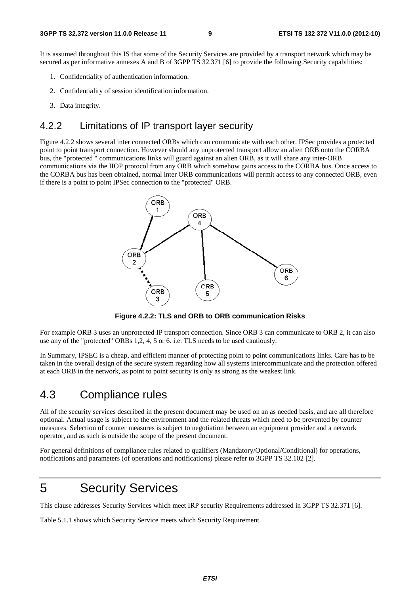It is assumed throughout this IS that some of the Security Services are provided by a transport network which may be secured as per informative annexes A and B of 3GPP TS 32.371 [6] to provide the following Security capabilities:

- 1. Confidentiality of authentication information.
- 2. Confidentiality of session identification information.
- 3. Data integrity.

#### 4.2.2 Limitations of IP transport layer security

Figure 4.2.2 shows several inter connected ORBs which can communicate with each other. IPSec provides a protected point to point transport connection. However should any unprotected transport allow an alien ORB onto the CORBA bus, the "protected " communications links will guard against an alien ORB, as it will share any inter-ORB communications via the IIOP protocol from any ORB which somehow gains access to the CORBA bus. Once access to the CORBA bus has been obtained, normal inter ORB communications will permit access to any connected ORB, even if there is a point to point IPSec connection to the "protected" ORB.



**Figure 4.2.2: TLS and ORB to ORB communication Risks** 

For example ORB 3 uses an unprotected IP transport connection. Since ORB 3 can communicate to ORB 2, it can also use any of the "protected" ORBs 1,2, 4, 5 or 6. i.e. TLS needs to be used cautiously.

In Summary, IPSEC is a cheap, and efficient manner of protecting point to point communications links. Care has to be taken in the overall design of the secure system regarding how all systems intercommunicate and the protection offered at each ORB in the network, as point to point security is only as strong as the weakest link.

#### 4.3 Compliance rules

All of the security services described in the present document may be used on an as needed basis, and are all therefore optional. Actual usage is subject to the environment and the related threats which need to be prevented by counter measures. Selection of counter measures is subject to negotiation between an equipment provider and a network operator, and as such is outside the scope of the present document.

For general definitions of compliance rules related to qualifiers (Mandatory/Optional/Conditional) for operations, notifications and parameters (of operations and notifications) please refer to 3GPP TS 32.102 [2].

### 5 Security Services

This clause addresses Security Services which meet IRP security Requirements addressed in 3GPP TS 32.371 [6].

Table 5.1.1 shows which Security Service meets which Security Requirement.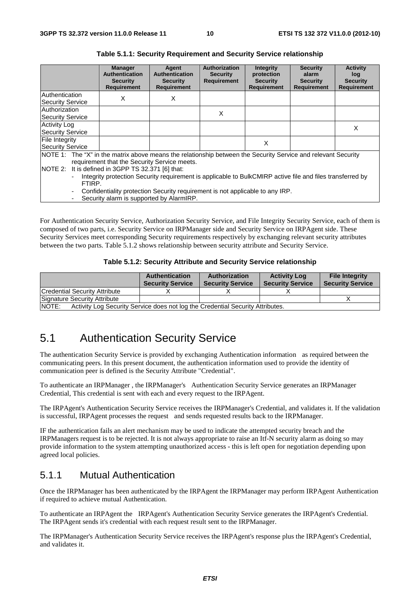|                                                                                                                                                                                                                                                                                                                                                                                                                                                                                                         | <b>Manager</b><br><b>Authentication</b><br><b>Security</b><br><b>Requirement</b> | Agent<br><b>Authentication</b><br><b>Security</b><br><b>Requirement</b> | Authorization<br><b>Security</b><br><b>Requirement</b> | <b>Integrity</b><br>protection<br><b>Security</b><br><b>Requirement</b> | <b>Security</b><br>alarm<br><b>Security</b><br><b>Requirement</b> | <b>Activity</b><br>log<br><b>Security</b><br><b>Requirement</b> |
|---------------------------------------------------------------------------------------------------------------------------------------------------------------------------------------------------------------------------------------------------------------------------------------------------------------------------------------------------------------------------------------------------------------------------------------------------------------------------------------------------------|----------------------------------------------------------------------------------|-------------------------------------------------------------------------|--------------------------------------------------------|-------------------------------------------------------------------------|-------------------------------------------------------------------|-----------------------------------------------------------------|
| Authentication<br><b>Security Service</b>                                                                                                                                                                                                                                                                                                                                                                                                                                                               | X                                                                                | х                                                                       |                                                        |                                                                         |                                                                   |                                                                 |
| Authorization<br>Security Service                                                                                                                                                                                                                                                                                                                                                                                                                                                                       |                                                                                  |                                                                         | X                                                      |                                                                         |                                                                   |                                                                 |
| <b>Activity Log</b><br><b>Security Service</b>                                                                                                                                                                                                                                                                                                                                                                                                                                                          |                                                                                  |                                                                         |                                                        |                                                                         |                                                                   | X                                                               |
| File Integrity<br><b>Security Service</b>                                                                                                                                                                                                                                                                                                                                                                                                                                                               |                                                                                  |                                                                         |                                                        | X                                                                       |                                                                   |                                                                 |
| NOTE 1: The "X" in the matrix above means the relationship between the Security Service and relevant Security<br>requirement that the Security Service meets.<br>NOTE 2: It is defined in 3GPP TS 32.371 [6] that:<br>Integrity protection Security requirement is applicable to BulkCMIRP active file and files transferred by<br>$\overline{\phantom{0}}$<br>FTIRP.<br>Confidentiality protection Security requirement is not applicable to any IRP.<br>۰<br>Security alarm is supported by AlarmIRP. |                                                                                  |                                                                         |                                                        |                                                                         |                                                                   |                                                                 |

**Table 5.1.1: Security Requirement and Security Service relationship** 

For Authentication Security Service, Authorization Security Service, and File Integrity Security Service, each of them is composed of two parts, i.e. Security Service on IRPManager side and Security Service on IRPAgent side. These Security Services meet corresponding Security requirements respectively by exchanging relevant security attributes between the two parts. Table 5.1.2 shows relationship between security attribute and Security Service.

#### **Table 5.1.2: Security Attribute and Security Service relationship**

|                                                                                         | <b>Authentication</b><br><b>Security Service</b> | Authorization<br><b>Security Service</b> | <b>Activity Log</b><br><b>Security Service</b> | <b>File Integrity</b><br><b>Security Service</b> |  |  |
|-----------------------------------------------------------------------------------------|--------------------------------------------------|------------------------------------------|------------------------------------------------|--------------------------------------------------|--|--|
| <b>Credential Security Attribute</b>                                                    |                                                  |                                          |                                                |                                                  |  |  |
| Signature Security Attribute                                                            |                                                  |                                          |                                                |                                                  |  |  |
| NOTE:<br>Activity Log Security Service does not log the Credential Security Attributes. |                                                  |                                          |                                                |                                                  |  |  |

#### 5.1 Authentication Security Service

The authentication Security Service is provided by exchanging Authentication information as required between the communicating peers. In this present document, the authentication information used to provide the identity of communication peer is defined is the Security Attribute "Credential".

To authenticate an IRPManager , the IRPManager's Authentication Security Service generates an IRPManager Credential, This credential is sent with each and every request to the IRPAgent.

The IRPAgent's Authentication Security Service receives the IRPManager's Credential, and validates it. If the validation is successful, IRPAgent processes the request and sends requested results back to the IRPManager.

IF the authentication fails an alert mechanism may be used to indicate the attempted security breach and the IRPManagers request is to be rejected. It is not always appropriate to raise an Itf-N security alarm as doing so may provide information to the system attempting unauthorized access - this is left open for negotiation depending upon agreed local policies.

#### 5.1.1 Mutual Authentication

Once the IRPManager has been authenticated by the IRPAgent the IRPManager may perform IRPAgent Authentication if required to achieve mutual Authentication.

To authenticate an IRPAgent the IRPAgent's Authentication Security Service generates the IRPAgent's Credential. The IRPAgent sends it's credential with each request result sent to the IRPManager.

The IRPManager's Authentication Security Service receives the IRPAgent's response plus the IRPAgent's Credential, and validates it.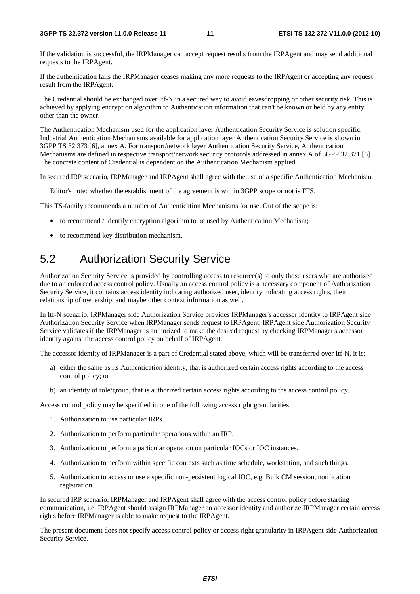If the validation is successful, the IRPManager can accept request results from the IRPAgent and may send additional requests to the IRPAgent.

If the authentication fails the IRPManager ceases making any more requests to the IRPAgent or accepting any request result from the IRPAgent.

The Credential should be exchanged over Itf-N in a secured way to avoid eavesdropping or other security risk. This is achieved by applying encryption algorithm to Authentication information that can't be known or held by any entity other than the owner.

The Authentication Mechanism used for the application layer Authentication Security Service is solution specific. Industrial Authentication Mechanisms available for application layer Authentication Security Service is shown in 3GPP TS 32.373 [6], annex A. For transport/network layer Authentication Security Service, Authentication Mechanisms are defined in respective transport/network security protocols addressed in annex A of 3GPP 32.371 [6]. The concrete content of Credential is dependent on the Authentication Mechanism applied.

In secured IRP scenario, IRPManager and IRPAgent shall agree with the use of a specific Authentication Mechanism.

Editor's note: whether the establishment of the agreement is within 3GPP scope or not is FFS.

This TS-family recommends a number of Authentication Mechanisms for use. Out of the scope is:

- to recommend / identify encryption algorithm to be used by Authentication Mechanism;
- to recommend key distribution mechanism.

#### 5.2 Authorization Security Service

Authorization Security Service is provided by controlling access to resource(s) to only those users who are authorized due to an enforced access control policy. Usually an access control policy is a necessary component of Authorization Security Service, it contains access identity indicating authorized user, identity indicating access rights, their relationship of ownership, and maybe other context information as well.

In Itf-N scenario, IRPManager side Authorization Service provides IRPManager's accessor identity to IRPAgent side Authorization Security Service when IRPManager sends request to IRPAgent, IRPAgent side Authorization Security Service validates if the IRPManager is authorized to make the desired request by checking IRPManager's accessor identity against the access control policy on behalf of IRPAgent.

The accessor identity of IRPManager is a part of Credential stated above, which will be transferred over Itf-N, it is:

- a) either the same as its Authentication identity, that is authorized certain access rights according to the access control policy; or
- b) an identity of role/group, that is authorized certain access rights according to the access control policy.

Access control policy may be specified in one of the following access right granularities:

- 1. Authorization to use particular IRPs.
- 2. Authorization to perform particular operations within an IRP.
- 3. Authorization to perform a particular operation on particular IOCs or IOC instances.
- 4. Authorization to perform within specific contexts such as time schedule, workstation, and such things.
- 5. Authorization to access or use a specific non-persistent logical IOC, e.g. Bulk CM session, notification registration.

In secured IRP scenario, IRPManager and IRPAgent shall agree with the access control policy before starting communication, i.e. IRPAgent should assign IRPManager an accessor identity and authorize IRPManager certain access rights before IRPManager is able to make request to the IRPAgent.

The present document does not specify access control policy or access right granularity in IRPAgent side Authorization Security Service.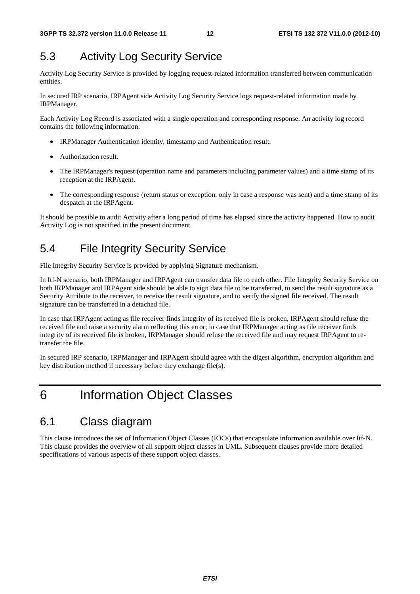### 5.3 Activity Log Security Service

Activity Log Security Service is provided by logging request-related information transferred between communication entities.

In secured IRP scenario, IRPAgent side Activity Log Security Service logs request-related information made by IRPManager.

Each Activity Log Record is associated with a single operation and corresponding response. An activity log record contains the following information:

- IRPManager Authentication identity, timestamp and Authentication result.
- Authorization result.
- The IRPManager's request (operation name and parameters including parameter values) and a time stamp of its reception at the IRPAgent.
- The corresponding response (return status or exception, only in case a response was sent) and a time stamp of its despatch at the IRPAgent.

It should be possible to audit Activity after a long period of time has elapsed since the activity happened. How to audit Activity Log is not specified in the present document.

### 5.4 File Integrity Security Service

File Integrity Security Service is provided by applying Signature mechanism.

In Itf-N scenario, both IRPManager and IRPAgent can transfer data file to each other. File Integrity Security Service on both IRPManager and IRPAgent side should be able to sign data file to be transferred, to send the result signature as a Security Attribute to the receiver, to receive the result signature, and to verify the signed file received. The result signature can be transferred in a detached file.

In case that IRPAgent acting as file receiver finds integrity of its received file is broken, IRPAgent should refuse the received file and raise a security alarm reflecting this error; in case that IRPManager acting as file receiver finds integrity of its received file is broken, IRPManager should refuse the received file and may request IRPAgent to retransfer the file.

In secured IRP scenario, IRPManager and IRPAgent should agree with the digest algorithm, encryption algorithm and key distribution method if necessary before they exchange file(s).

### 6 Information Object Classes

#### 6.1 Class diagram

This clause introduces the set of Information Object Classes (IOCs) that encapsulate information available over Itf-N. This clause provides the overview of all support object classes in UML. Subsequent clauses provide more detailed specifications of various aspects of these support object classes.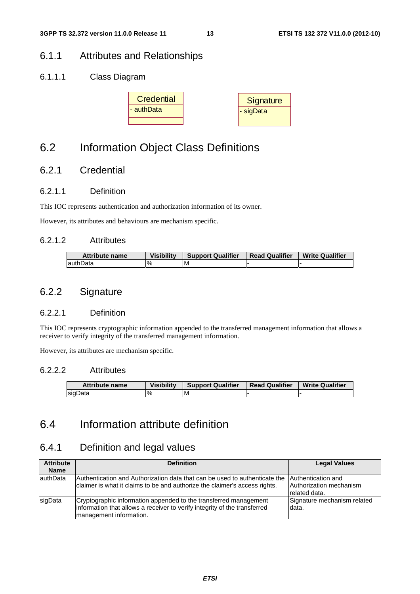#### 6.1.1 Attributes and Relationships

#### 6.1.1.1 Class Diagram



### 6.2 Information Object Class Definitions

#### 6.2.1 Credential

#### 6.2.1.1 Definition

This IOC represents authentication and authorization information of its owner.

However, its attributes and behaviours are mechanism specific.

#### 6.2.1.2 Attributes

| <b>Attribute name</b> | <b>Visibility</b> | <b>Support Qualifier</b> | <b>Read Qualifier</b> | <b>Write Qualifier</b> |
|-----------------------|-------------------|--------------------------|-----------------------|------------------------|
| lauthData             |                   | ΙM                       |                       |                        |

#### 6.2.2 Signature

#### 6.2.2.1 Definition

This IOC represents cryptographic information appended to the transferred management information that allows a receiver to verify integrity of the transferred management information.

However, its attributes are mechanism specific.

#### 6.2.2.2 Attributes

| Attribute name | <b>Visibility</b><br><b>Support Qualifier</b> |    | <b>Read Qualifier</b> | <b>Write Qualifier</b> |  |
|----------------|-----------------------------------------------|----|-----------------------|------------------------|--|
| sigData        | $\frac{9}{6}$                                 | ۱M |                       |                        |  |

### 6.4 Information attribute definition

#### 6.4.1 Definition and legal values

| <b>Attribute</b><br><b>Name</b> | <b>Definition</b>                                                                                                                                                        | <b>Legal Values</b>                                            |
|---------------------------------|--------------------------------------------------------------------------------------------------------------------------------------------------------------------------|----------------------------------------------------------------|
| lauthData                       | Authentication and Authorization data that can be used to authenticate the<br>claimer is what it claims to be and authorize the claimer's access rights.                 | Authentication and<br>Authorization mechanism<br>related data. |
| sigData                         | Cryptographic information appended to the transferred management<br>information that allows a receiver to verify integrity of the transferred<br>management information. | Signature mechanism related<br>data.                           |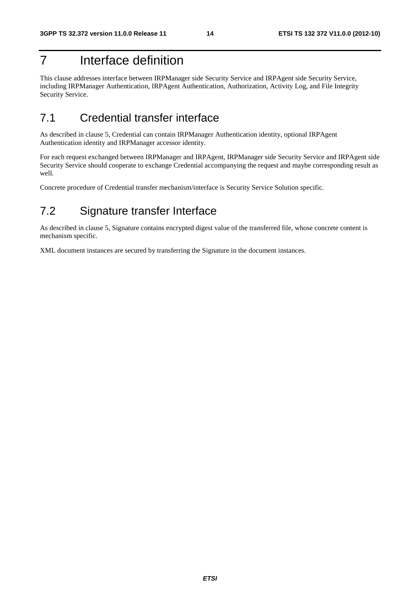### 7 Interface definition

This clause addresses interface between IRPManager side Security Service and IRPAgent side Security Service, including IRPManager Authentication, IRPAgent Authentication, Authorization, Activity Log, and File Integrity Security Service.

### 7.1 Credential transfer interface

As described in clause 5, Credential can contain IRPManager Authentication identity, optional IRPAgent Authentication identity and IRPManager accessor identity.

For each request exchanged between IRPManager and IRPAgent, IRPManager side Security Service and IRPAgent side Security Service should cooperate to exchange Credential accompanying the request and maybe corresponding result as well.

Concrete procedure of Credential transfer mechanism/interface is Security Service Solution specific.

### 7.2 Signature transfer Interface

As described in clause 5, Signature contains encrypted digest value of the transferred file, whose concrete content is mechanism specific.

XML document instances are secured by transferring the Signature in the document instances.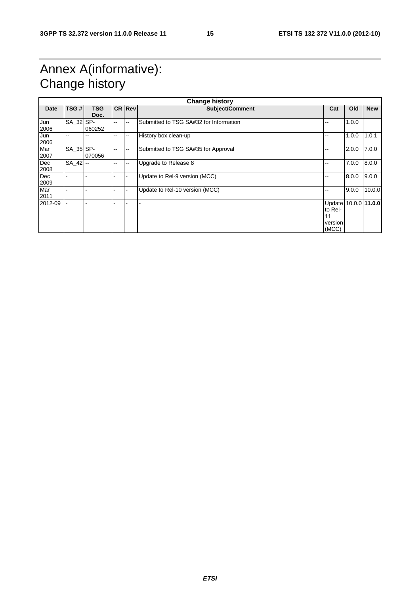### Annex A(informative): Change history

| <b>Change history</b> |             |                    |               |                |                                        |                                                           |       |            |
|-----------------------|-------------|--------------------|---------------|----------------|----------------------------------------|-----------------------------------------------------------|-------|------------|
| Date                  | TSG #       | <b>TSG</b><br>Doc. |               | <b>CRIRevi</b> | Subject/Comment                        | Cat                                                       | Old   | <b>New</b> |
| Jun<br>2006           | SA 32 SP-   | 060252             | $- -$         | --             | Submitted to TSG SA#32 for Information | --                                                        | 1.0.0 |            |
| Jun<br>2006           | --          |                    | --            | ۰.             | History box clean-up                   | --                                                        | 1.0.0 | 1.0.1      |
| Mar<br>2007           | SA 35 SP-   | 070056             | $-$           | --             | Submitted to TSG SA#35 for Approval    | --                                                        | 2.0.0 | 7.0.0      |
| Dec<br>2008           | $SA$ 42 $-$ |                    | $\sim$ $\sim$ | --             | Upgrade to Release 8                   | --                                                        | 7.0.0 | 8.0.0      |
| Dec<br>2009           |             |                    |               |                | Update to Rel-9 version (MCC)          | --                                                        | 8.0.0 | 9.0.0      |
| Mar<br>2011           |             |                    |               |                | Update to Rel-10 version (MCC)         | --                                                        | 9.0.0 | 10.0.0     |
| 2012-09               |             |                    |               |                |                                        | Update 10.0.0 11.0.0<br>to Rel-<br>11<br>version<br>(MCC) |       |            |